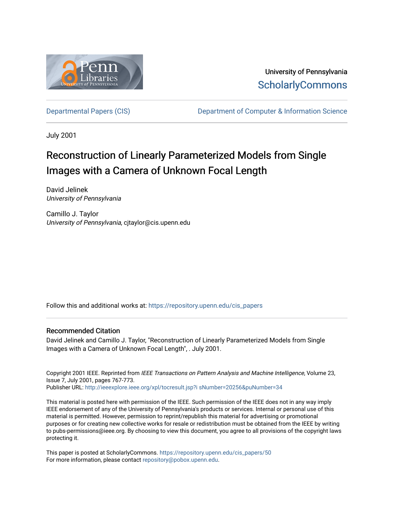

University of Pennsylvania **ScholarlyCommons** 

[Departmental Papers \(CIS\)](https://repository.upenn.edu/cis_papers) [Department of Computer & Information Science](https://repository.upenn.edu/cis) 

July 2001

# Reconstruction of Linearly Parameterized Models from Single Images with a Camera of Unknown Focal Length

David Jelinek University of Pennsylvania

Camillo J. Taylor University of Pennsylvania, citaylor@cis.upenn.edu

Follow this and additional works at: [https://repository.upenn.edu/cis\\_papers](https://repository.upenn.edu/cis_papers?utm_source=repository.upenn.edu%2Fcis_papers%2F50&utm_medium=PDF&utm_campaign=PDFCoverPages)

### Recommended Citation

David Jelinek and Camillo J. Taylor, "Reconstruction of Linearly Parameterized Models from Single Images with a Camera of Unknown Focal Length", . July 2001.

Copyright 2001 IEEE. Reprinted from IEEE Transactions on Pattern Analysis and Machine Intelligence, Volume 23, Issue 7, July 2001, pages 767-773. Publisher URL: [http://ieeexplore.ieee.org/xpl/tocresult.jsp?i sNumber=20256&puNumber=34](http://ieeexplore.ieee.org/xpl/tocresult.jsp?isNumber=20256&puNumber=34) 

This material is posted here with permission of the IEEE. Such permission of the IEEE does not in any way imply IEEE endorsement of any of the University of Pennsylvania's products or services. Internal or personal use of this material is permitted. However, permission to reprint/republish this material for advertising or promotional purposes or for creating new collective works for resale or redistribution must be obtained from the IEEE by writing to pubs-permissions@ieee.org. By choosing to view this document, you agree to all provisions of the copyright laws protecting it.

This paper is posted at ScholarlyCommons. [https://repository.upenn.edu/cis\\_papers/50](https://repository.upenn.edu/cis_papers/50)  For more information, please contact [repository@pobox.upenn.edu.](mailto:repository@pobox.upenn.edu)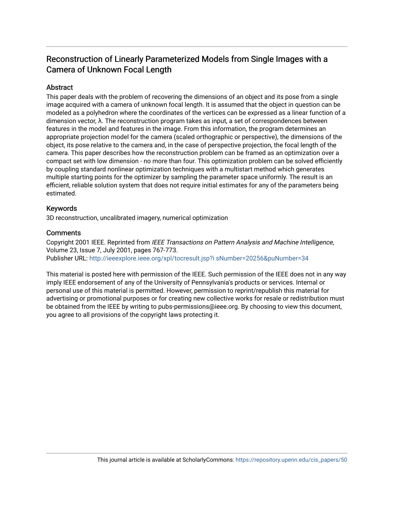## Reconstruction of Linearly Parameterized Models from Single Images with a Camera of Unknown Focal Length

## **Abstract**

This paper deals with the problem of recovering the dimensions of an object and its pose from a single image acquired with a camera of unknown focal length. It is assumed that the object in question can be modeled as a polyhedron where the coordinates of the vertices can be expressed as a linear function of a dimension vector, λ. The reconstruction program takes as input, a set of correspondences between features in the model and features in the image. From this information, the program determines an appropriate projection model for the camera (scaled orthographic or perspective), the dimensions of the object, its pose relative to the camera and, in the case of perspective projection, the focal length of the camera. This paper describes how the reconstruction problem can be framed as an optimization over a compact set with low dimension - no more than four. This optimization problem can be solved efficiently by coupling standard nonlinear optimization techniques with a multistart method which generates multiple starting points for the optimizer by sampling the parameter space uniformly. The result is an efficient, reliable solution system that does not require initial estimates for any of the parameters being estimated.

## Keywords

3D reconstruction, uncalibrated imagery, numerical optimization

## **Comments**

Copyright 2001 IEEE. Reprinted from IEEE Transactions on Pattern Analysis and Machine Intelligence, Volume 23, Issue 7, July 2001, pages 767-773. Publisher URL: [http://ieeexplore.ieee.org/xpl/tocresult.jsp?i sNumber=20256&puNumber=34](http://ieeexplore.ieee.org/xpl/tocresult.jsp?isNumber=20256&puNumber=34) 

This material is posted here with permission of the IEEE. Such permission of the IEEE does not in any way imply IEEE endorsement of any of the University of Pennsylvania's products or services. Internal or personal use of this material is permitted. However, permission to reprint/republish this material for advertising or promotional purposes or for creating new collective works for resale or redistribution must be obtained from the IEEE by writing to pubs-permissions@ieee.org. By choosing to view this document, you agree to all provisions of the copyright laws protecting it.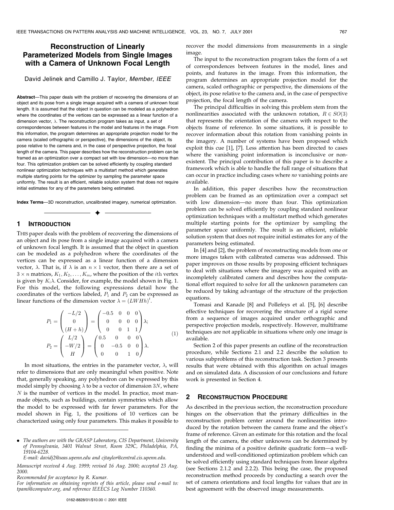## Reconstruction of Linearly Parameterized Models from Single Images with a Camera of Unknown Focal Length

David Jelinek and Camillo J. Taylor, Member, IEEE

Abstract—This paper deals with the problem of recovering the dimensions of an object and its pose from a single image acquired with a camera of unknown focal length. It is assumed that the object in question can be modeled as a polyhedron where the coordinates of the vertices can be expressed as a linear function of a dimension vector,  $\lambda$ . The reconstruction program takes as input, a set of correspondences between features in the model and features in the image. From this information, the program determines an appropriate projection model for the camera (scaled orthographic or perspective), the dimensions of the object, its pose relative to the camera and, in the case of perspective projection, the focal length of the camera. This paper describes how the reconstruction problem can be framed as an optimization over a compact set with low dimension-no more than four. This optimization problem can be solved efficiently by coupling standard nonlinear optimization techniques with a multistart method which generates multiple starting points for the optimizer by sampling the parameter space uniformly. The result is an efficient, reliable solution system that does not require initial estimates for any of the parameters being estimated.

Index Terms-3D reconstruction, uncalibrated imagery, numerical optimization. æ

#### 1 INTRODUCTION

THIS paper deals with the problem of recovering the dimensions of an object and its pose from a single image acquired with a camera of unknown focal length. It is assumed that the object in question can be modeled as a polyhedron where the coordinates of the vertices can be expressed as a linear function of a dimension vector,  $\lambda$ . That is, if  $\lambda$  is an  $n \times 1$  vector, then there are a set of  $3 \times n$  matrices,  $K_1, K_2, \ldots, K_m$ , where the position of the *i*th vertex is given by  $K_i \lambda$ . Consider, for example, the model shown in Fig. 1. For this model, the following expressions detail how the coordinates of the vertices labeled,  $P_1$  and  $P_2$  can be expressed as linear functions of the dimension vector  $\lambda = (LWHh)^t$ .

$$
P_1 = \begin{pmatrix} -L/2 \\ 0 \\ (H+h) \end{pmatrix} = \begin{pmatrix} -0.5 & 0 & 0 & 0 \\ 0 & 0 & 0 & 0 \\ 0 & 0 & 1 & 1 \end{pmatrix} \lambda;
$$
  
\n
$$
P_2 = \begin{pmatrix} L/2 \\ -W/2 \\ H \end{pmatrix} = \begin{pmatrix} 0.5 & 0 & 0 & 0 \\ 0 & -0.5 & 0 & 0 \\ 0 & 0 & 1 & 0 \end{pmatrix} \lambda.
$$
 (1)

In most situations, the entries in the parameter vector,  $\lambda$ , will refer to dimensions that are only meaningful when positive. Note that, generally speaking, any polyhedron can be expressed by this model simply by choosing  $\lambda$  to be a vector of dimension  $3N$ , where  $N$  is the number of vertices in the model. In practice, most manmade objects, such as buildings, contain symmetries which allow the model to be expressed with far fewer parameters. For the model shown in Fig. 1, the positions of 10 vertices can be characterized using only four parameters. This makes it possible to

E-mail: davidj2@seas.upenn.edu and cjtaylor@central.cis.upenn.edu.

recover the model dimensions from measurements in a single image.

The input to the reconstruction program takes the form of a set of correspondences between features in the model, lines and points, and features in the image. From this information, the program determines an appropriate projection model for the camera, scaled orthographic or perspective, the dimensions of the object, its pose relative to the camera and, in the case of perspective projection, the focal length of the camera.

The principal difficulties in solving this problem stem from the nonlinearities associated with the unknown rotation,  $R \in SO(3)$ that represents the orientation of the camera with respect to the objects frame of reference. In some situations, it is possible to recover information about this rotation from vanishing points in the imagery. A number of systems have been proposed which exploit this cue [1], [7]. Less attention has been directed to cases where the vanishing point information is inconclusive or nonexistent. The principal contribution of this paper is to describe a framework which is able to handle the full range of situations that can occur in practice including cases where no vanishing points are available.

In addition, this paper describes how the reconstruction problem can be framed as an optimization over a compact set with low dimension-no more than four. This optimization problem can be solved efficiently by coupling standard nonlinear optimization techniques with a multistart method which generates multiple starting points for the optimizer by sampling the parameter space uniformly. The result is an efficient, reliable solution system that does not require initial estimates for any of the parameters being estimated.

In [4] and [2], the problem of reconstructing models from one or more images taken with calibrated cameras was addressed. This paper improves on those results by proposing efficient techniques to deal with situations where the imagery was acquired with an incompletely calibrated camera and describes how the computational effort required to solve for all the unknown parameters can be reduced by taking advantage of the structure of the projection equations.

Tomasi and Kanade [8] and Pollefeys et al. [5], [6] describe effective techniques for recovering the structure of a rigid scene from a sequence of images acquired under orthographic and perspective projection models, respectively. However, multiframe techniques are not applicable in situations where only one image is available.

Section 2 of this paper presents an outline of the reconstruction procedure, while Sections 2.1 and 2.2 describe the solution to various subproblems of this reconstruction task. Section 3 presents results that were obtained with this algorithm on actual images and on simulated data. A discussion of our conclusions and future work is presented in Section 4.

#### 2 RECONSTRUCTION PROCEDURE

As described in the previous section, the reconstruction procedure hinges on the observation that the primary difficulties in the reconstruction problem center around the nonlinearities introduced by the rotation between the camera frame and the object's frame of reference. Given an estimate for this rotation and the focal length of the camera, the other unknowns can be determined by finding the minima of a positive definite quadratic form—a wellunderstood and well-conditioned optimization problem which can be solved efficiently using standard techniques from linear algebra (see Sections 2.1.2 and 2.2.2). This being the case, the proposed reconstruction method proceeds by conducting a search over the set of camera orientations and focal lengths for values that are in best agreement with the observed image measurements.

<sup>.</sup> The authors are with the GRASP Laboratory, CIS Department, University of Pennsylvania, 3401 Walnut Street, Room 329C, Philadelphia, PA, 19104-6228.

Manuscript received 4 Aug. 1999; revised 16 Aug. 2000; accepted 23 Aug. 2000.

Recommended for acceptance by R. Kumar.

For information on obtaining reprints of this article, please send e-mail to: tpami@computer.org, and reference IEEECS Log Number 110360.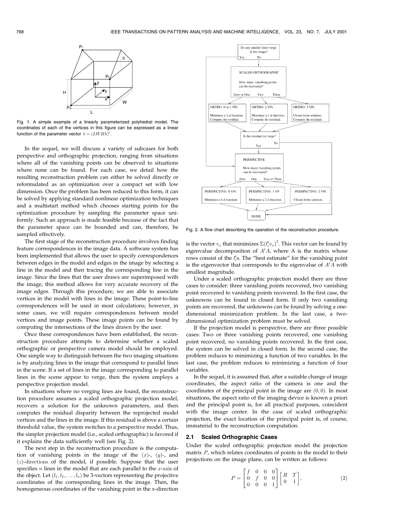

Fig. 1. A simple example of a linearly parameterized polyhedral model. The coordinates of each of the vertices in this figure can be expressed as a linear function of the parameter vector  $\lambda = (LWHh)^t$ .

In the sequel, we will discuss a variety of subcases for both perspective and orthographic projection, ranging from situations where all of the vanishing points can be observed to situations where none can be found. For each case, we detail how the resulting reconstruction problem can either be solved directly or reformulated as an optimization over a compact set with low dimension. Once the problem has been reduced to this form, it can be solved by applying standard nonlinear optimization techniques and a multistart method which chooses starting points for the optimization procedure by sampling the parameter space uniformly. Such an approach is made feasible because of the fact that the parameter space can be bounded and can, therefore, be sampled effectively.

The first stage of the reconstruction procedure involves finding feature correspondences in the image data. A software system has been implemented that allows the user to specify correspondences between edges in the model and edges in the image by selecting a line in the model and then tracing the corresponding line in the image. Since the lines that the user draws are superimposed with the image, this method allows for very accurate recovery of the image edges. Through this procedure, we are able to associate vertices in the model with lines in the image. These point-to-line correspondences will be used in most calculations; however, in some cases, we will require correspondences between model vertices and image points. These image points can be found by computing the intersections of the lines drawn by the user.

Once these correspondences have been established, the reconstruction procedure attempts to determine whether a scaled orthographic or perspective camera model should be employed. One simple way to distinguish between the two imaging situations is by analyzing lines in the image that correspond to parallel lines in the scene. If a set of lines in the image corresponding to parallel lines in the scene appear to verge, then the system employs a perspective projection model.

In situations where no verging lines are found, the reconstruction procedure assumes a scaled orthographic projection model, recovers a solution for the unknown parameters, and then computes the residual disparity between the reprojected model vertices and the lines in the image. If this residual is above a certain threshold value, the system switches to a perspective model. Thus, the simpler projection model (i.e., scaled orthographic) is favored if it explains the data sufficiently well (see Fig. 2).

The next step in the reconstruction procedure is the computation of vanishing points in the image of the  $(x)$ -,  $(y)$ -, and  $(z)$ -directions of the model, if possible. Suppose that the user specifies  $n$  lines in the model that are each parallel to the  $x$ -axis of the object. Let  $(l_1, l_2, \ldots, l_n)$  be 3-vectors representing the projective coordinates of the corresponding lines in the image. Then, the homogeneous coordinates of the vanishing point in the x-direction



Fig. 2. A flow chart describing the operation of the reconstruction procedure.

is the vector  $v_x$  that minimizes  $\Sigma(l_i^tv_x)^2$ . This vector can be found by eigenvalue decomposition of  $A<sup>t</sup>A$ , where A is the matrix whose rows consist of the  $l_i^t$ s. The "best estimate" for the vanishing point is the eigenvector that corresponds to the eigenvalue of  $A<sup>t</sup>A$  with smallest magnitude.

Under a scaled orthographic projection model there are three cases to consider: three vanishing points recovered, two vanishing point recovered to vanishing points recovered. In the first case, the unknowns can be found in closed form. If only two vanishing points are recovered, the unknowns can be found by solving a onedimensional minimization problem. In the last case, a twodimensional optimization problem must be solved.

If the projection model is perspective, there are three possible cases: Two or three vanishing points recovered, one vanishing point recovered, no vanishing points recovered. In the first case, the system can be solved in closed form. In the second case, the problem reduces to minimizing a function of two variables. In the last case, the problem reduces to minimizing a function of four variables.

In the sequel, it is assumed that, after a suitable change of image coordinates, the aspect ratio of the camera is one and the coordinates of the principal point in the image are  $(0, 0)$ . In most situations, the aspect ratio of the imaging device is known a priori and the principal point is, for all practical purposes, coincident with the image center. In the case of scaled orthographic projection, the exact location of the principal point is, of course, immaterial to the reconstruction computation.

#### 2.1 Scaled Orthographic Cases

Under the scaled orthographic projection model the projection matrix  $P$ , which relates coordinates of points in the model to their projections on the image plane, can be written as follows:

$$
P = \begin{bmatrix} f & 0 & 0 & 0 \\ 0 & f & 0 & 0 \\ 0 & 0 & 0 & 1 \end{bmatrix} \begin{bmatrix} R & T \\ 0 & 1 \end{bmatrix},
$$
 (2)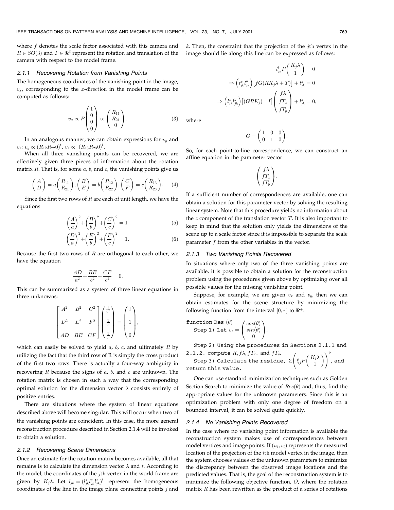where  $f$  denotes the scale factor associated with this camera and  $R\in SO(3)$  and  $T\in \Re^3$  represent the rotation and translation of the camera with respect to the model frame.

#### 2.1.1 Recovering Rotation from Vanishing Points

The homogeneous coordinates of the vanishing point in the image,  $v<sub>x</sub>$ , corresponding to the x-direction in the model frame can be computed as follows:

$$
v_x \propto P \begin{pmatrix} 1 \\ 0 \\ 0 \\ 0 \end{pmatrix} \propto \begin{pmatrix} R_{11} \\ R_{21} \\ 0 \end{pmatrix}.
$$
 (3) w

In an analogous manner, we can obtain expressions for  $v_y$  and  $v_z: v_y \propto (R_{12}R_{22}0)^t$ ,  $v_z \propto (R_{13}R_{23}0)^t$ .

When all three vanishing points can be recovered, we are effectively given three pieces of information about the rotation matrix  $R$ . That is, for some  $a$ ,  $b$ , and  $c$ , the vanishing points give us

$$
\begin{pmatrix} A \\ D \end{pmatrix} = a \begin{pmatrix} R_{11} \\ R_{21} \end{pmatrix}, \begin{pmatrix} B \\ E \end{pmatrix} = b \begin{pmatrix} R_{12} \\ R_{22} \end{pmatrix}, \begin{pmatrix} C \\ F \end{pmatrix} = c \begin{pmatrix} R_{13} \\ R_{23} \end{pmatrix}. \tag{4}
$$

Since the first two rows of  $R$  are each of unit length, we have the equations

$$
\left(\frac{A}{a}\right)^2 + \left(\frac{B}{b}\right)^2 + \left(\frac{C}{c}\right)^2 = 1\tag{5}
$$

$$
\left(\frac{D}{a}\right)^2 + \left(\frac{E}{b}\right)^2 + \left(\frac{F}{c}\right)^2 = 1.
$$
\n(6)

Because the first two rows of  $R$  are orthogonal to each other, we have the equation

$$
\frac{AD}{a^2} + \frac{BE}{b^2} + \frac{CF}{c^2} = 0.
$$

This can be summarized as a system of three linear equations in three unknowns:

$$
\begin{bmatrix} A^2 & B^2 & C^2 \ D^2 & E^2 & F^2 \ A D & BE & CF \end{bmatrix} \begin{pmatrix} \frac{1}{a^2} \\ \frac{1}{b^2} \\ \frac{1}{c^2} \end{pmatrix} = \begin{pmatrix} 1 \\ 1 \\ 0 \end{pmatrix},
$$

which can easily be solved to yield  $a$ ,  $b$ ,  $c$ , and ultimately  $R$  by utilizing the fact that the third row of R is simply the cross product of the first two rows. There is actually a four-way ambiguity in recovering  $R$  because the signs of  $a$ ,  $b$ , and  $c$  are unknown. The rotation matrix is chosen in such a way that the corresponding optimal solution for the dimension vector  $\lambda$  consists entirely of positive entries.

There are situations where the system of linear equations described above will become singular. This will occur when two of the vanishing points are coincident. In this case, the more general reconstruction procedure described in Section 2.1.4 will be invoked to obtain a solution.

#### 2.1.2 Recovering Scene Dimensions

Once an estimate for the rotation matrix becomes available, all that remains is to calculate the dimension vector  $\lambda$  and t. According to the model, the coordinates of the jth vertex in the world frame are given by  $K_j \lambda$ . Let  $l_{jk} = (l_{jk}^x l_{jk}^y l_{jk}^z)^t$  represent the homogeneous coordinates of the line in the image plane connecting points  $j$  and

 $k$ . Then, the constraint that the projection of the jth vertex in the image should lie along this line can be expressed as follows:

$$
l_{jk}^{t}P\binom{K_{j}\lambda}{1} = 0
$$

$$
\Rightarrow \left(l_{jk}^{x}l_{jk}^{y}\right)\left[fG(RK_{j}\lambda + T)\right] + l_{jk}^{z} = 0
$$

$$
\Rightarrow \left(l_{jk}^{x}l_{jk}^{y}\right)\left[(GRK_{j}) \quad I\right]\binom{f\lambda}{fT_{x}} + l_{jk}^{z} = 0,
$$

where

$$
G = \begin{pmatrix} 1 & 0 & 0 \\ 0 & 1 & 0 \end{pmatrix}.
$$

So, for each point-to-line correspondence, we can construct an affine equation in the parameter vector

$$
\begin{pmatrix} f\lambda \\ fT_x \\ fT_y \end{pmatrix}.
$$

If a sufficient number of correspondences are available, one can obtain a solution for this parameter vector by solving the resulting linear system. Note that this procedure yields no information about the  $z$  component of the translation vector  $T$ . It is also important to keep in mind that the solution only yields the dimensions of the scene up to a scale factor since it is impossible to separate the scale parameter  $f$  from the other variables in the vector.

#### 2.1.3 Two Vanishing Points Recovered

In situations where only two of the three vanishing points are available, it is possible to obtain a solution for the reconstruction problem using the procedures given above by optimizing over all possible values for the missing vanishing point.

Suppose, for example, we are given  $v_x$  and  $v_y$ , then we can obtain estimates for the scene structure by minimizing the following function from the interval  $[0, \pi]$  to  $\Re^+$ :

function Res 
$$
(\theta)
$$
  
Step 1) Let  $v_z = \begin{pmatrix} cos(\theta) \\ sin(\theta) \\ 0 \end{pmatrix}$ .

Step 2) Using the procedures in Sections 2.1.1 and 2.1.2, compute  $R, f\lambda, fT_x$ , and  $fT_y$ .

2.1.2, compute 
$$
R
$$
,  $f\lambda$ ,  $fT_x$ , and  $fT_y$ .  
Step 3) Calculate the residue,  $\Sigma \left( l_{ij}^t P \left( \begin{array}{c} K_i \lambda \\ 1 \end{array} \right) \right)^2$ , and return this value.

One can use standard minimization techniques such as Golden Section Search to minimize the value of  $Res(\theta)$  and, thus, find the appropriate values for the unknown parameters. Since this is an optimization problem with only one degree of freedom on a bounded interval, it can be solved quite quickly.

#### 2.1.4 No Vanishing Points Recovered

In the case where no vanishing point information is available the reconstruction system makes use of correspondences between model vertices and image points. If  $(u_i, v_i)$  represents the measured location of the projection of the ith model vertex in the image, then the system chooses values of the unknown parameters to minimize the discrepancy between the observed image locations and the predicted values. That is, the goal of the reconstruction system is to minimize the following objective function, O, where the rotation matrix  $R$  has been rewritten as the product of a series of rotations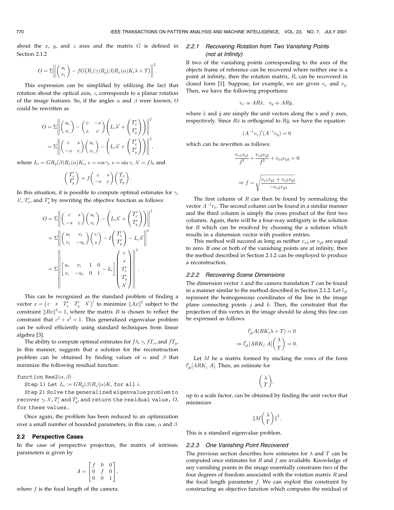about the  $x$ ,  $y$ , and  $z$  axes and the matrix  $G$  is defined in Section 2.1.2

$$
O = \Sigma \bigg\| \bigg( \begin{array}{c} u_i \\ v_i \end{array} \bigg) - f G\big( R_z(\gamma) R_y(\beta) R_x(\alpha) K_i \lambda + T \bigg) \bigg\|^2.
$$

This expression can be simplified by utilizing the fact that rotation about the optical axis, z, corresponds to a planar rotation of the image features. So, if the angles  $\alpha$  and  $\beta$  were known, O could be rewritten as

$$
O = \Sigma \left\| \begin{pmatrix} u_i \\ v_i \end{pmatrix} - \begin{pmatrix} c & -s \\ s & c \end{pmatrix} \begin{pmatrix} L_i \lambda' + \begin{pmatrix} T_x' \\ T_y' \end{pmatrix} \end{pmatrix} \right\|^2
$$
  
= 
$$
\Sigma \left\| \begin{pmatrix} c & s \\ -s & c \end{pmatrix} \begin{pmatrix} u_i \\ v_i \end{pmatrix} - \begin{pmatrix} L_i \lambda' + \begin{pmatrix} T_x' \\ T_y' \end{pmatrix} \end{pmatrix} \right\|^2,
$$

where  $L_i = GR_y(\beta)R_x(\alpha)K_i$ ,  $c = \cos \gamma$ ,  $s = \sin \gamma$ ,  $\lambda' = f\lambda$ , and

$$
\begin{pmatrix} T'_x \\ T'_y \end{pmatrix} = f \begin{pmatrix} c & s \\ -s & c \end{pmatrix} \begin{pmatrix} T_x \\ T_y \end{pmatrix}.
$$

In this situation, it is possible to compute optimal estimates for  $\gamma$ ,  $\lambda'$ ,  $T'_x$ , and  $T'_y$  by rewriting the objective function as follows:

$$
O = \Sigma \left\| \begin{pmatrix} c & s \\ -s & c \end{pmatrix} \begin{pmatrix} u_i \\ v_i \end{pmatrix} - \left( L_i \lambda' + \begin{pmatrix} T'_x \\ T'_y \end{pmatrix} \right) \right\|^2
$$
  

$$
= \Sigma \left\| \begin{pmatrix} u_i & v_i \\ v_i & -u_i \end{pmatrix} \begin{pmatrix} c \\ s \end{pmatrix} - I \begin{pmatrix} T'_x \\ T'_y \end{pmatrix} - L_i \lambda' \right\|^2
$$
  

$$
= \Sigma \left\| \begin{pmatrix} u_i & v_i & 1 & 0 \\ v_i & -u_i & 0 & 1 \end{pmatrix} - L_i \right\| \begin{pmatrix} c \\ s \\ T'_x \\ T'_y \\ \lambda' \end{pmatrix} \right\|^2.
$$

This can be recognized as the standard problem of finding a vector  $x = \begin{pmatrix} c & s & T'_x & T'_y & \lambda' \end{pmatrix}^t$  to minimize  $||Ax||^2$  subject to the constraint  $||Bx||^2 = 1$ , where the matrix B is chosen to reflect the constraint that  $c^2 + s^2 = 1$ . This generalized eigenvalue problem can be solved efficiently using standard techniques from linear algebra [3].

The ability to compute optimal estimates for  $f\lambda$ ,  $\gamma$ ,  $fT_x$ , and  $fT_y$ , in this manner, suggests that a solution for the reconstruction problem can be obtained by finding values of  $\alpha$  and  $\beta$  that minimize the following residual function:

function Res2 $(\alpha, \beta)$ 

Step 1) Let  $L_i:=GR_y(\beta)R_x(\alpha)K_i$  for all  $i.$ 

Step 2) Solve the generalized eigenvalue problem to recover  $\gamma$ ,  $\lambda^{\prime}$ ,  $T^{\prime}_x$  and  $T^{\prime}_{y^{\prime}}$  and return the residual value,  $O$ , for these values.

Once again, the problem has been reduced to an optimization over a small number of bounded parameters, in this case,  $\alpha$  and  $\beta$ .

#### 2.2 Perspective Cases

In the case of perspective projection, the matrix of intrinsic parameters is given by

$$
A = \begin{bmatrix} f & 0 & 0 \\ 0 & f & 0 \\ 0 & 0 & 1 \end{bmatrix},
$$

where  $f$  is the focal length of the camera.

#### 2.2.1 Recovering Rotation from Two Vanishing Points (not at Infinity)

If two of the vanishing points corresponding to the axes of the objects frame of reference can be recovered where neither one is a point at infinity, then the rotation matrix,  $R$ , can be recovered in closed form [1]. Suppose, for example, we are given  $v_x$  and  $v_y$ . Then, we have the following proportions:

$$
v_x \alpha \, AR\hat{x}, \ v_y \alpha \, AR\hat{y},
$$

where  $\hat{x}$  and  $\hat{y}$  are simply the unit vectors along the x and y axes, respectively. Since  $R\hat{x}$  is orthogonal to  $R\hat{y}$ , we have the equation

$$
(A^{-1}v_x)^t(A^{-1}v_y) = 0
$$

which can be rewritten as follows:

$$
\frac{v_{x1}v_{y1}}{f^2} + \frac{v_{x2}v_{y2}}{f^2} + v_{x3}v_{y3} = 0
$$
  

$$
\Rightarrow f = \sqrt{\frac{v_{x1}v_{y1} + v_{x2}v_{y2}}{-v_{x3}v_{y3}}}.
$$

The first column of  $R$  can then be found by normalizing the vector  $A^{-1}v_x$ . The second column can be found in a similar manner and the third column is simply the cross product of the first two columns. Again, there will be a four-way ambiguity in the solution for  $R$  which can be resolved by choosing the a solution which results in a dimension vector with positive entries.

This method will succeed as long as neither  $v_{x3}$  or  $v_{y3}$  are equal to zero. If one or both of the vanishing points are at infinity, then the method described in Section 2.1.2 can be employed to produce a reconstruction.

#### 2.2.2 Recovering Scene Dimensions

The dimension vector  $\lambda$  and the camera translation  $T$  can be found in a manner similar to the method described in Section 2.1.2. Let  $l_{ik}$ represent the homogeneous coordinates of the line in the image plane connecting points  $j$  and  $k$ . Then, the constraint that the projection of this vertex in the image should lie along this line can be expressed as follows:

$$
l_{jk}^{t} A(RK_j \lambda + T) = 0
$$

$$
\Rightarrow l_{jk}^{t} [ARK_j \ A] \binom{\lambda}{T} = 0.
$$

Let  $M$  be a matrix formed by stacking the rows of the form  $l_{jk}^t[ARK_j\ A].$  Then, an estimate for

$$
\binom{\lambda}{T},
$$

up to a scale factor, can be obtained by finding the unit vector that minimizes

$$
\|M\bigg(\frac{\lambda}{T}\bigg)\|^2.
$$

This is a standard eigenvalue problem.

#### 2.2.3 One Vanishing Point Recovered

The previous section describes how estimates for  $\lambda$  and  $T$  can be computed once estimates for  $R$  and  $f$  are available. Knowledge of any vanishing points in the image essentially constrains two of the four degrees of freedom associated with the rotation matrix  $R$  and the focal length parameter  $f$ . We can exploit this constraint by constructing an objective function which computes the residual of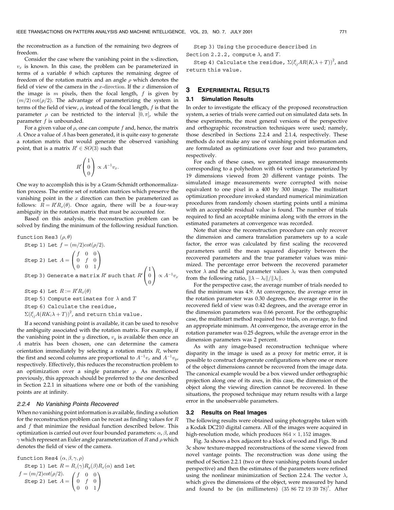the reconstruction as a function of the remaining two degrees of freedom.

Consider the case where the vanishing point in the x-direction,  $v<sub>x</sub>$  is known. In this case, the problem can be parameterized in terms of a variable  $\theta$  which captures the remaining degree of freedom of the rotation matrix and an angle  $\rho$  which denotes the field of view of the camera in the x-direction. If the  $x$  dimension of the image is  $m$  pixels, then the focal length,  $f$  is given by  $(m/2) \cot(\rho/2)$ . The advantage of parameterizing the system in terms of the field of view,  $\rho$ , instead of the focal length,  $f$  is that the parameter  $\rho$  can be restricted to the interval  $[0, \pi]$ , while the parameter  $f$  is unbounded.

For a given value of  $\rho$ , one can compute  $f$  and, hence, the matrix A. Once a value of A has been generated, it is quite easy to generate a rotation matrix that would generate the observed vanishing point, that is a matrix  $R' \in SO(3)$  such that

$$
R'\begin{pmatrix}1\\0\\0\end{pmatrix} \propto A^{-1}v_x.
$$

One way to accomplish this is by a Gram-Schmidt orthonormalization process. The entire set of rotation matrices which preserve the vanishing point in the  $x$  direction can then be parameterized as follows:  $R = R'R_x(\theta)$ . Once again, there will be a four-way ambiguity in the rotation matrix that must be accounted for.

Based on this analysis, the reconstruction problem can be solved by finding the minimum of the following residual function.

function Res3 
$$
(\rho, \theta)
$$
  
\nStep 1) Let  $f = (m/2)cot(\rho/2)$ .  
\nStep 2) Let  $A = \begin{pmatrix} f & 0 & 0 \\ 0 & f & 0 \\ 0 & 0 & 1 \end{pmatrix}$   
\nStep 3) Generate a matrix  $R'$  such that  $R' \begin{pmatrix} 1 \\ 0 \\ 0 \end{pmatrix} \propto A^{-1}v_x$   
\nStep 4) Let  $R := R'R_x(\theta)$ 

Step 5) Compute estimates for  $\lambda$  and T

Step 6) Calculate the residue,

 $\Sigma(l^t_{ij}A(RK_i\lambda+T))^2$ , and return this value.

If a second vanishing point is available, it can be used to resolve the ambiguity associated with the rotation matrix. For example, if the vanishing point in the y direction,  $v_y$  is available then once an A matrix has been chosen, one can determine the camera orientation immediately by selecting a rotation matrix  $R$ , where the first and second columns are proportional to  $A^{-1}v_x$  and  $A^{-1}v_y$ , respectively. Effectively, this reduces the reconstruction problem to an optimization over a single parameter  $\rho$ . As mentioned previously, this approach should be preferred to the one described in Section 2.2.1 in situations where one or both of the vanishing points are at infinity.

#### 2.2.4 No Vanishing Points Recovered

When no vanishing point information is available, finding a solution for the reconstruction problem can be recast as finding values for  $R$ and  $f$  that minimize the residual function described below. This optimization is carried out over four bounded parameters:  $\alpha$ ,  $\beta$ , and  $\gamma$  which represent an Euler angle parameterization of R and  $\rho$  which denotes the field of view of the camera.

function Res4  $(\alpha, \beta, \gamma, \rho)$ Step 1) Let  $R = R_z(\gamma)R_y(\beta)R_x(\alpha)$  and let  $f = (m/2)cot(\rho/2).$ Step 2) Let  $A =$ f 0 0 0 f 0 001  $\sqrt{2}$  $\overline{1}$ 1 A

Step 3) Using the procedure described in Section 2.2.2, compute  $\lambda$ , and T.

Step 4) Calculate the residue,  $\Sigma(l_{ij}^tAR(K_i\lambda+T))^2$ , and return this value.

#### 3 EXPERIMENTAL RESULTS

#### 3.1 Simulation Results

In order to investigate the efficacy of the proposed reconstruction system, a series of trials were carried out on simulated data sets. In these experiments, the most general versions of the perspective and orthographic reconstruction techniques were used; namely, those described in Sections 2.2.4 and 2.1.4, respectively. These methods do not make any use of vanishing point information and are formulated as optimizations over four and two parameters, respectively.

For each of these cases, we generated image measurements corresponding to a polyhedron with 64 vertices parameterized by 19 dimensions viewed from 20 different vantage points. The simulated image measurements were corrupted with noise equivalent to one pixel in a 400 by 300 image. The multistart optimization procedure invoked standard numerical minimization procedures from randomly chosen starting points until a minima with an acceptable residual value is found. The number of trials required to find an acceptable minima along with the errors in the estimated parameters at convergence was recorded.

Note that since the reconstruction procedure can only recover the dimension and camera translation parameters up to a scale factor, the error was calculated by first scaling the recovered parameters until the mean squared disparity between the recovered parameters and the true parameter values was minimized. The percentage error between the recovered parameter vector  $\lambda$  and the actual parameter values  $\lambda_t$  was then computed from the following ratio,  $\|\lambda-\lambda_t\|/\|\lambda_t\|$ .

For the perspective case, the average number of trials needed to find the minimum was 4.9. At convergence, the average error in the rotation parameter was 0.30 degrees, the average error in the recovered field of view was 0.42 degrees, and the average error in the dimension parameters was 0.66 percent. For the orthographic case, the multistart method required two trials, on average, to find an appropriate minimum. At convergence, the average error in the rotation parameter was 0.25 degrees, while the average error in the dimension parameters was 2 percent.

As with any image-based reconstruction technique where disparity in the image is used as a proxy for metric error, it is possible to construct degenerate configurations where one or more of the object dimensions cannot be recovered from the image data. The canonical example would be a box viewed under orthographic projection along one of its axes, in this case, the dimension of the object along the viewing direction cannot be recovered. In these situations, the proposed technique may return results with a large error in the unobservable parameters.

#### 3.2 Results on Real Images

The following results were obtained using photographs taken with a Kodak DC210 digital camera. All of the images were acquired in high-resolution mode, which produces  $864 \times 1,152$  images.

Fig. 3a shows a box adjacent to a block of wood and Figs. 3b and 3c show texture-mapped reconstructions of the scene viewed from novel vantage points. The reconstruction was done using the method of Section 2.2.1 (two or three vanishing points found under perspective) and then the estimates of the parameters were refined using the nonlinear minimization of Section 2.2.4. The vector  $\lambda$ , which gives the dimensions of the object, were measured by hand and found to be (in millimeters)  $(35 86 72 19 39 78)^t$ . After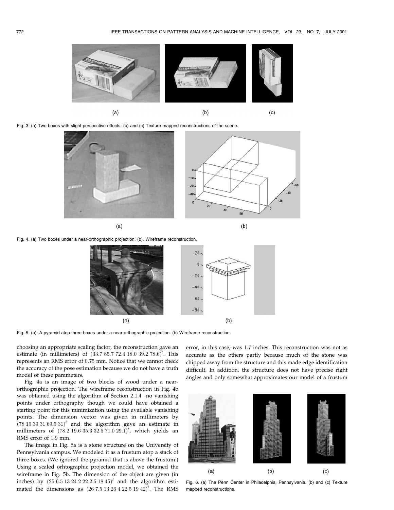

Fig. 3. (a) Two boxes with slight perspective effects. (b) and (c) Texture mapped reconstructions of the scene.



Fig. 4. (a) Two boxes under a near-orthographic projection. (b). Wireframe reconstruction.



Fig. 5. (a). A pyramid atop three boxes under a near-orthographic projection. (b) Wireframe reconstruction.

choosing an appropriate scaling factor, the reconstruction gave an estimate (in millimeters) of  $(33.7 85.7 72.4 18.0 39.2 78.6)^t$ . This represents an RMS error of 0:75 mm. Notice that we cannot check the accuracy of the pose estimation because we do not have a truth model of these parameters.

Fig. 4a is an image of two blocks of wood under a nearorthographic projection. The wireframe reconstruction in Fig. 4b was obtained using the algorithm of Section 2.1.4 no vanishing points under orthography though we could have obtained a starting point for this minimization using the available vanishing points. The dimension vector was given in millimeters by  $(78\ 19\ 39\ 31\ 69.5\ 31)^t$  and the algorithm gave an estimate in millimeters of  $(78.2 \ 19.6 \ 35.3 \ 32.5 \ 71.0 \ 29.1)^t$ , which yields an RMS error of 1:9 mm.

The image in Fig. 5a is a stone structure on the University of Pennsylvania campus. We modeled it as a frustum atop a stack of three boxes. (We ignored the pyramid that is above the frustum.) Using a scaled orhtographic projection model, we obtained the wireframe in Fig. 5b. The dimension of the object are given (in inches) by  $(25 6.5 13 24 2 22 2.5 18 45)^t$  and the algorithm estimated the dimensions as  $(26 7.5 13 26 4 22 5 19 42)^t$ . The RMS

error, in this case, was 1:7 inches. This reconstruction was not as accurate as the others partly because much of the stone was chipped away from the structure and this made edge identification difficult. In addition, the structure does not have precise right angles and only somewhat approximates our model of a frustum



Fig. 6. (a) The Penn Center in Philadelphia, Pennsylvania. (b) and (c) Texture mapped reconstructions.